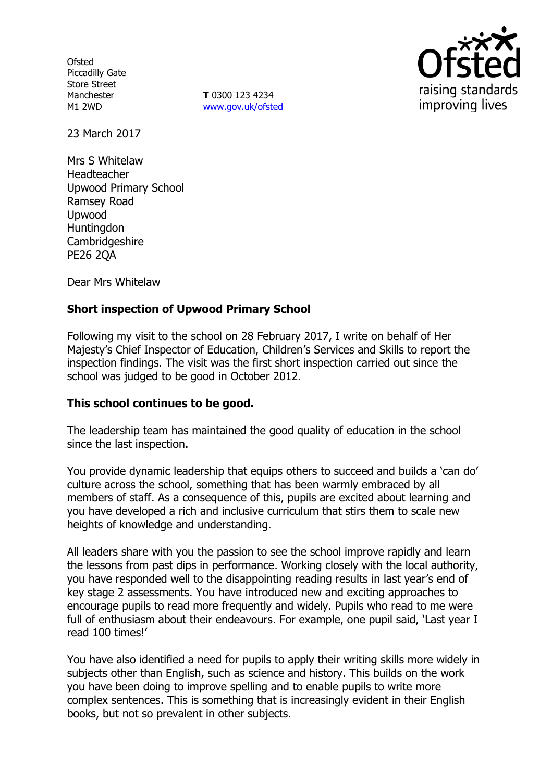**Ofsted** Piccadilly Gate Store Street Manchester M1 2WD

**T** 0300 123 4234 [www.gov.uk/ofsted](http://www.gov.uk/ofsted)



23 March 2017

Mrs S Whitelaw Headteacher Upwood Primary School Ramsey Road Upwood Huntingdon Cambridgeshire PE26 2QA

Dear Mrs Whitelaw

# **Short inspection of Upwood Primary School**

Following my visit to the school on 28 February 2017, I write on behalf of Her Majesty's Chief Inspector of Education, Children's Services and Skills to report the inspection findings. The visit was the first short inspection carried out since the school was judged to be good in October 2012.

### **This school continues to be good.**

The leadership team has maintained the good quality of education in the school since the last inspection.

You provide dynamic leadership that equips others to succeed and builds a 'can do' culture across the school, something that has been warmly embraced by all members of staff. As a consequence of this, pupils are excited about learning and you have developed a rich and inclusive curriculum that stirs them to scale new heights of knowledge and understanding.

All leaders share with you the passion to see the school improve rapidly and learn the lessons from past dips in performance. Working closely with the local authority, you have responded well to the disappointing reading results in last year's end of key stage 2 assessments. You have introduced new and exciting approaches to encourage pupils to read more frequently and widely. Pupils who read to me were full of enthusiasm about their endeavours. For example, one pupil said, 'Last year I read 100 times!'

You have also identified a need for pupils to apply their writing skills more widely in subjects other than English, such as science and history. This builds on the work you have been doing to improve spelling and to enable pupils to write more complex sentences. This is something that is increasingly evident in their English books, but not so prevalent in other subjects.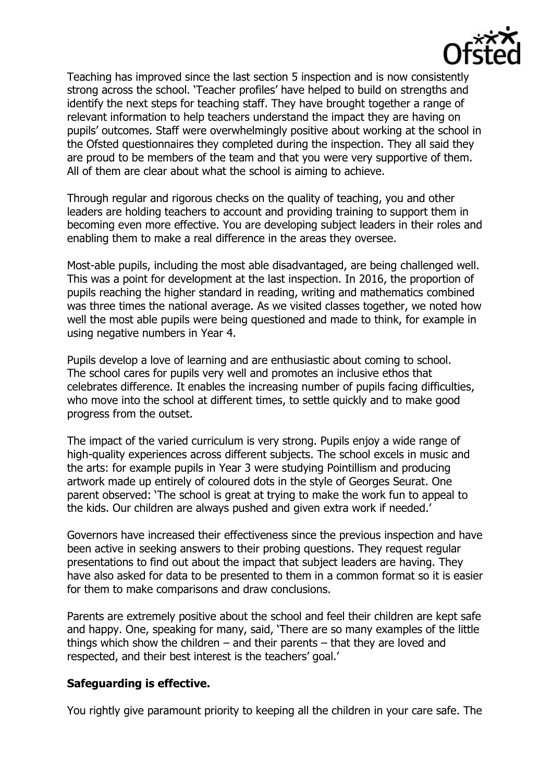

Teaching has improved since the last section 5 inspection and is now consistently strong across the school. 'Teacher profiles' have helped to build on strengths and identify the next steps for teaching staff. They have brought together a range of relevant information to help teachers understand the impact they are having on pupils' outcomes. Staff were overwhelmingly positive about working at the school in the Ofsted questionnaires they completed during the inspection. They all said they are proud to be members of the team and that you were very supportive of them. All of them are clear about what the school is aiming to achieve.

Through regular and rigorous checks on the quality of teaching, you and other leaders are holding teachers to account and providing training to support them in becoming even more effective. You are developing subject leaders in their roles and enabling them to make a real difference in the areas they oversee.

Most-able pupils, including the most able disadvantaged, are being challenged well. This was a point for development at the last inspection. In 2016, the proportion of pupils reaching the higher standard in reading, writing and mathematics combined was three times the national average. As we visited classes together, we noted how well the most able pupils were being questioned and made to think, for example in using negative numbers in Year 4.

Pupils develop a love of learning and are enthusiastic about coming to school. The school cares for pupils very well and promotes an inclusive ethos that celebrates difference. It enables the increasing number of pupils facing difficulties, who move into the school at different times, to settle quickly and to make good progress from the outset.

The impact of the varied curriculum is very strong. Pupils enjoy a wide range of high-quality experiences across different subjects. The school excels in music and the arts: for example pupils in Year 3 were studying Pointillism and producing artwork made up entirely of coloured dots in the style of Georges Seurat. One parent observed: 'The school is great at trying to make the work fun to appeal to the kids. Our children are always pushed and given extra work if needed.'

Governors have increased their effectiveness since the previous inspection and have been active in seeking answers to their probing questions. They request regular presentations to find out about the impact that subject leaders are having. They have also asked for data to be presented to them in a common format so it is easier for them to make comparisons and draw conclusions.

Parents are extremely positive about the school and feel their children are kept safe and happy. One, speaking for many, said, 'There are so many examples of the little things which show the children  $-$  and their parents  $-$  that they are loved and respected, and their best interest is the teachers' goal.'

#### **Safeguarding is effective.**

You rightly give paramount priority to keeping all the children in your care safe. The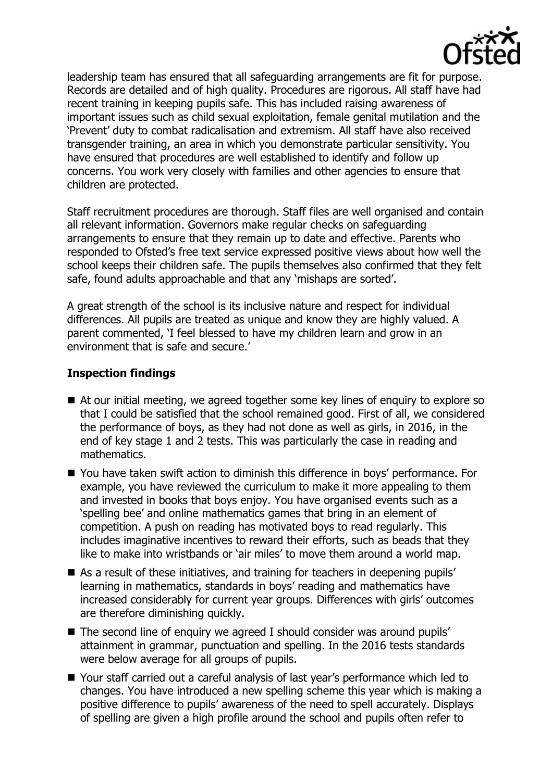

leadership team has ensured that all safeguarding arrangements are fit for purpose. Records are detailed and of high quality. Procedures are rigorous. All staff have had recent training in keeping pupils safe. This has included raising awareness of important issues such as child sexual exploitation, female genital mutilation and the 'Prevent' duty to combat radicalisation and extremism. All staff have also received transgender training, an area in which you demonstrate particular sensitivity. You have ensured that procedures are well established to identify and follow up concerns. You work very closely with families and other agencies to ensure that children are protected.

Staff recruitment procedures are thorough. Staff files are well organised and contain all relevant information. Governors make regular checks on safeguarding arrangements to ensure that they remain up to date and effective. Parents who responded to Ofsted's free text service expressed positive views about how well the school keeps their children safe. The pupils themselves also confirmed that they felt safe, found adults approachable and that any 'mishaps are sorted'.

A great strength of the school is its inclusive nature and respect for individual differences. All pupils are treated as unique and know they are highly valued. A parent commented, 'I feel blessed to have my children learn and grow in an environment that is safe and secure.'

### **Inspection findings**

- At our initial meeting, we agreed together some key lines of enquiry to explore so that I could be satisfied that the school remained good. First of all, we considered the performance of boys, as they had not done as well as girls, in 2016, in the end of key stage 1 and 2 tests. This was particularly the case in reading and mathematics.
- You have taken swift action to diminish this difference in boys' performance. For example, you have reviewed the curriculum to make it more appealing to them and invested in books that boys enjoy. You have organised events such as a 'spelling bee' and online mathematics games that bring in an element of competition. A push on reading has motivated boys to read regularly. This includes imaginative incentives to reward their efforts, such as beads that they like to make into wristbands or 'air miles' to move them around a world map.
- As a result of these initiatives, and training for teachers in deepening pupils' learning in mathematics, standards in boys' reading and mathematics have increased considerably for current year groups. Differences with girls' outcomes are therefore diminishing quickly.
- The second line of enquiry we agreed I should consider was around pupils' attainment in grammar, punctuation and spelling. In the 2016 tests standards were below average for all groups of pupils.
- Your staff carried out a careful analysis of last year's performance which led to changes. You have introduced a new spelling scheme this year which is making a positive difference to pupils' awareness of the need to spell accurately. Displays of spelling are given a high profile around the school and pupils often refer to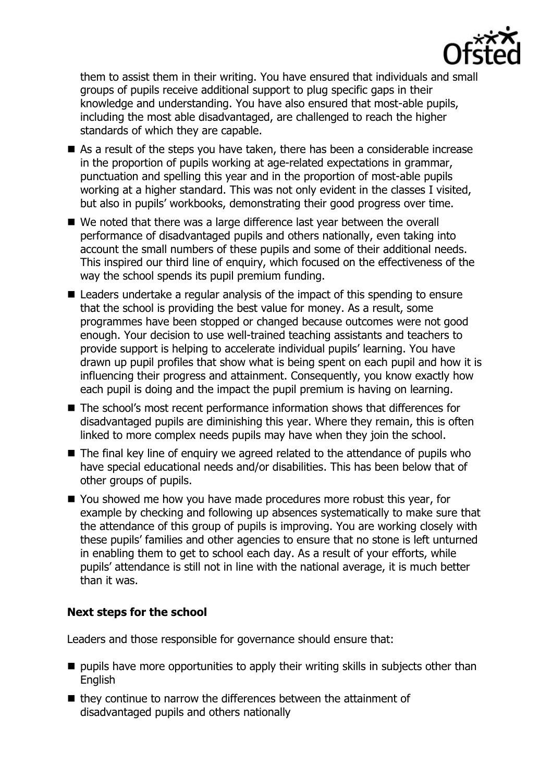

them to assist them in their writing. You have ensured that individuals and small groups of pupils receive additional support to plug specific gaps in their knowledge and understanding. You have also ensured that most-able pupils, including the most able disadvantaged, are challenged to reach the higher standards of which they are capable.

- As a result of the steps you have taken, there has been a considerable increase in the proportion of pupils working at age-related expectations in grammar, punctuation and spelling this year and in the proportion of most-able pupils working at a higher standard. This was not only evident in the classes I visited, but also in pupils' workbooks, demonstrating their good progress over time.
- We noted that there was a large difference last year between the overall performance of disadvantaged pupils and others nationally, even taking into account the small numbers of these pupils and some of their additional needs. This inspired our third line of enquiry, which focused on the effectiveness of the way the school spends its pupil premium funding.
- Leaders undertake a regular analysis of the impact of this spending to ensure that the school is providing the best value for money. As a result, some programmes have been stopped or changed because outcomes were not good enough. Your decision to use well-trained teaching assistants and teachers to provide support is helping to accelerate individual pupils' learning. You have drawn up pupil profiles that show what is being spent on each pupil and how it is influencing their progress and attainment. Consequently, you know exactly how each pupil is doing and the impact the pupil premium is having on learning.
- The school's most recent performance information shows that differences for disadvantaged pupils are diminishing this year. Where they remain, this is often linked to more complex needs pupils may have when they join the school.
- The final key line of enquiry we agreed related to the attendance of pupils who have special educational needs and/or disabilities. This has been below that of other groups of pupils.
- You showed me how you have made procedures more robust this year, for example by checking and following up absences systematically to make sure that the attendance of this group of pupils is improving. You are working closely with these pupils' families and other agencies to ensure that no stone is left unturned in enabling them to get to school each day. As a result of your efforts, while pupils' attendance is still not in line with the national average, it is much better than it was.

### **Next steps for the school**

Leaders and those responsible for governance should ensure that:

- $\blacksquare$  pupils have more opportunities to apply their writing skills in subjects other than **English**
- $\blacksquare$  they continue to narrow the differences between the attainment of disadvantaged pupils and others nationally